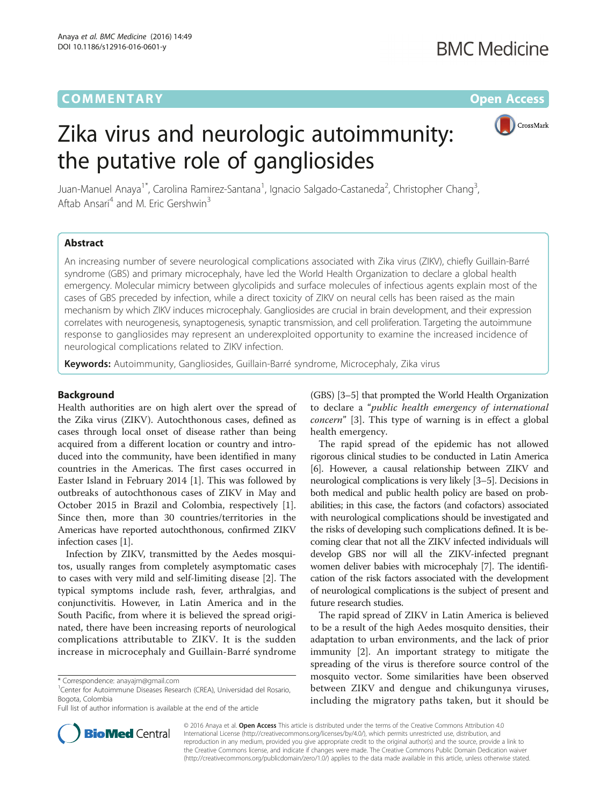## **COMMENTARY COMMENTARY Open Access**

# CrossMark

# Zika virus and neurologic autoimmunity: the putative role of gangliosides

Juan-Manuel Anaya<sup>1\*</sup>, Carolina Ramirez-Santana<sup>1</sup>, Ignacio Salgado-Castaneda<sup>2</sup>, Christopher Chang<sup>3</sup> , Aftab Ansari<sup>4</sup> and M. Eric Gershwin<sup>3</sup>

## Abstract

An increasing number of severe neurological complications associated with Zika virus (ZIKV), chiefly Guillain-Barré syndrome (GBS) and primary microcephaly, have led the World Health Organization to declare a global health emergency. Molecular mimicry between glycolipids and surface molecules of infectious agents explain most of the cases of GBS preceded by infection, while a direct toxicity of ZIKV on neural cells has been raised as the main mechanism by which ZIKV induces microcephaly. Gangliosides are crucial in brain development, and their expression correlates with neurogenesis, synaptogenesis, synaptic transmission, and cell proliferation. Targeting the autoimmune response to gangliosides may represent an underexploited opportunity to examine the increased incidence of neurological complications related to ZIKV infection.

Keywords: Autoimmunity, Gangliosides, Guillain-Barré syndrome, Microcephaly, Zika virus

### Background

Health authorities are on high alert over the spread of the Zika virus (ZIKV). Autochthonous cases, defined as cases through local onset of disease rather than being acquired from a different location or country and introduced into the community, have been identified in many countries in the Americas. The first cases occurred in Easter Island in February 2014 [[1\]](#page-2-0). This was followed by outbreaks of autochthonous cases of ZIKV in May and October 2015 in Brazil and Colombia, respectively [\[1](#page-2-0)]. Since then, more than 30 countries/territories in the Americas have reported autochthonous, confirmed ZIKV infection cases [[1](#page-2-0)].

Infection by ZIKV, transmitted by the Aedes mosquitos, usually ranges from completely asymptomatic cases to cases with very mild and self-limiting disease [[2\]](#page-2-0). The typical symptoms include rash, fever, arthralgias, and conjunctivitis. However, in Latin America and in the South Pacific, from where it is believed the spread originated, there have been increasing reports of neurological complications attributable to ZIKV. It is the sudden increase in microcephaly and Guillain-Barré syndrome (GBS) [\[3](#page-2-0)–[5](#page-2-0)] that prompted the World Health Organization to declare a "public health emergency of international concern" [\[3](#page-2-0)]. This type of warning is in effect a global health emergency.

The rapid spread of the epidemic has not allowed rigorous clinical studies to be conducted in Latin America [[6](#page-2-0)]. However, a causal relationship between ZIKV and neurological complications is very likely [\[3](#page-2-0)–[5\]](#page-2-0). Decisions in both medical and public health policy are based on probabilities; in this case, the factors (and cofactors) associated with neurological complications should be investigated and the risks of developing such complications defined. It is becoming clear that not all the ZIKV infected individuals will develop GBS nor will all the ZIKV-infected pregnant women deliver babies with microcephaly [\[7\]](#page-2-0). The identification of the risk factors associated with the development of neurological complications is the subject of present and future research studies.

The rapid spread of ZIKV in Latin America is believed to be a result of the high Aedes mosquito densities, their adaptation to urban environments, and the lack of prior immunity [[2](#page-2-0)]. An important strategy to mitigate the spreading of the virus is therefore source control of the mosquito vector. Some similarities have been observed between ZIKV and dengue and chikungunya viruses, including the migratory paths taken, but it should be



© 2016 Anaya et al. Open Access This article is distributed under the terms of the Creative Commons Attribution 4.0 International License [\(http://creativecommons.org/licenses/by/4.0/](http://creativecommons.org/licenses/by/4.0/)), which permits unrestricted use, distribution, and reproduction in any medium, provided you give appropriate credit to the original author(s) and the source, provide a link to the Creative Commons license, and indicate if changes were made. The Creative Commons Public Domain Dedication waiver [\(http://creativecommons.org/publicdomain/zero/1.0/](http://creativecommons.org/publicdomain/zero/1.0/)) applies to the data made available in this article, unless otherwise stated.

<sup>\*</sup> Correspondence: [anayajm@gmail.com](mailto:anayajm@gmail.com) <sup>1</sup>

Center for Autoimmune Diseases Research (CREA), Universidad del Rosario, Bogota, Colombia

Full list of author information is available at the end of the article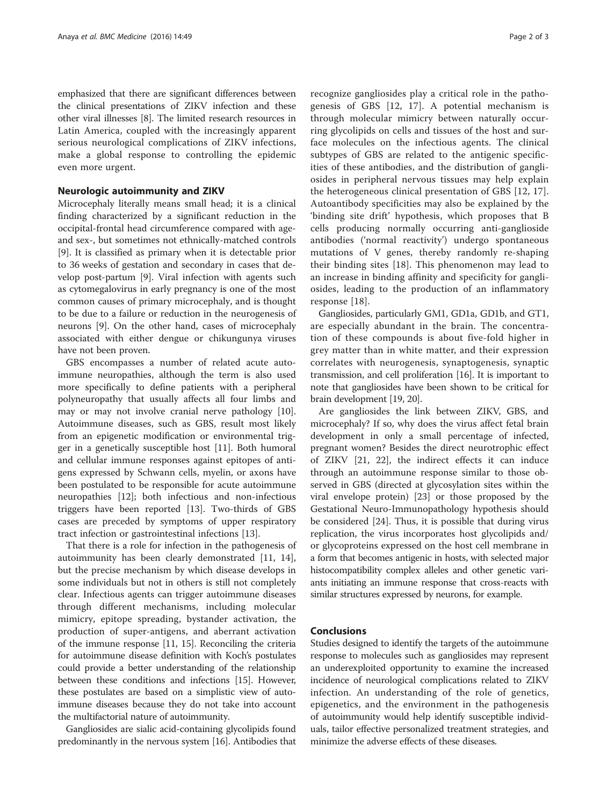emphasized that there are significant differences between the clinical presentations of ZIKV infection and these other viral illnesses [\[8\]](#page-2-0). The limited research resources in Latin America, coupled with the increasingly apparent serious neurological complications of ZIKV infections, make a global response to controlling the epidemic even more urgent.

#### Neurologic autoimmunity and ZIKV

Microcephaly literally means small head; it is a clinical finding characterized by a significant reduction in the occipital-frontal head circumference compared with ageand sex-, but sometimes not ethnically-matched controls [[9\]](#page-2-0). It is classified as primary when it is detectable prior to 36 weeks of gestation and secondary in cases that develop post-partum [[9\]](#page-2-0). Viral infection with agents such as cytomegalovirus in early pregnancy is one of the most common causes of primary microcephaly, and is thought to be due to a failure or reduction in the neurogenesis of neurons [\[9](#page-2-0)]. On the other hand, cases of microcephaly associated with either dengue or chikungunya viruses have not been proven.

GBS encompasses a number of related acute autoimmune neuropathies, although the term is also used more specifically to define patients with a peripheral polyneuropathy that usually affects all four limbs and may or may not involve cranial nerve pathology [\[10](#page-2-0)]. Autoimmune diseases, such as GBS, result most likely from an epigenetic modification or environmental trigger in a genetically susceptible host [[11](#page-2-0)]. Both humoral and cellular immune responses against epitopes of antigens expressed by Schwann cells, myelin, or axons have been postulated to be responsible for acute autoimmune neuropathies [[12](#page-2-0)]; both infectious and non-infectious triggers have been reported [\[13](#page-2-0)]. Two-thirds of GBS cases are preceded by symptoms of upper respiratory tract infection or gastrointestinal infections [\[13](#page-2-0)].

That there is a role for infection in the pathogenesis of autoimmunity has been clearly demonstrated [\[11](#page-2-0), [14](#page-2-0)], but the precise mechanism by which disease develops in some individuals but not in others is still not completely clear. Infectious agents can trigger autoimmune diseases through different mechanisms, including molecular mimicry, epitope spreading, bystander activation, the production of super-antigens, and aberrant activation of the immune response [[11](#page-2-0), [15](#page-2-0)]. Reconciling the criteria for autoimmune disease definition with Koch's postulates could provide a better understanding of the relationship between these conditions and infections [[15](#page-2-0)]. However, these postulates are based on a simplistic view of autoimmune diseases because they do not take into account the multifactorial nature of autoimmunity.

Gangliosides are sialic acid-containing glycolipids found predominantly in the nervous system [\[16\]](#page-2-0). Antibodies that

recognize gangliosides play a critical role in the pathogenesis of GBS [[12](#page-2-0), [17\]](#page-2-0). A potential mechanism is through molecular mimicry between naturally occurring glycolipids on cells and tissues of the host and surface molecules on the infectious agents. The clinical subtypes of GBS are related to the antigenic specificities of these antibodies, and the distribution of gangliosides in peripheral nervous tissues may help explain the heterogeneous clinical presentation of GBS [[12, 17](#page-2-0)]. Autoantibody specificities may also be explained by the 'binding site drift' hypothesis, which proposes that B cells producing normally occurring anti-ganglioside antibodies ('normal reactivity') undergo spontaneous mutations of V genes, thereby randomly re-shaping their binding sites [[18\]](#page-2-0). This phenomenon may lead to an increase in binding affinity and specificity for gangliosides, leading to the production of an inflammatory response [[18\]](#page-2-0).

Gangliosides, particularly GM1, GD1a, GD1b, and GT1, are especially abundant in the brain. The concentration of these compounds is about five-fold higher in grey matter than in white matter, and their expression correlates with neurogenesis, synaptogenesis, synaptic transmission, and cell proliferation [[16](#page-2-0)]. It is important to note that gangliosides have been shown to be critical for brain development [\[19](#page-2-0), [20](#page-2-0)].

Are gangliosides the link between ZIKV, GBS, and microcephaly? If so, why does the virus affect fetal brain development in only a small percentage of infected, pregnant women? Besides the direct neurotrophic effect of ZIKV [[21, 22\]](#page-2-0), the indirect effects it can induce through an autoimmune response similar to those observed in GBS (directed at glycosylation sites within the viral envelope protein) [\[23](#page-2-0)] or those proposed by the Gestational Neuro-Immunopathology hypothesis should be considered [[24](#page-2-0)]. Thus, it is possible that during virus replication, the virus incorporates host glycolipids and/ or glycoproteins expressed on the host cell membrane in a form that becomes antigenic in hosts, with selected major histocompatibility complex alleles and other genetic variants initiating an immune response that cross-reacts with similar structures expressed by neurons, for example.

### Conclusions

Studies designed to identify the targets of the autoimmune response to molecules such as gangliosides may represent an underexploited opportunity to examine the increased incidence of neurological complications related to ZIKV infection. An understanding of the role of genetics, epigenetics, and the environment in the pathogenesis of autoimmunity would help identify susceptible individuals, tailor effective personalized treatment strategies, and minimize the adverse effects of these diseases.